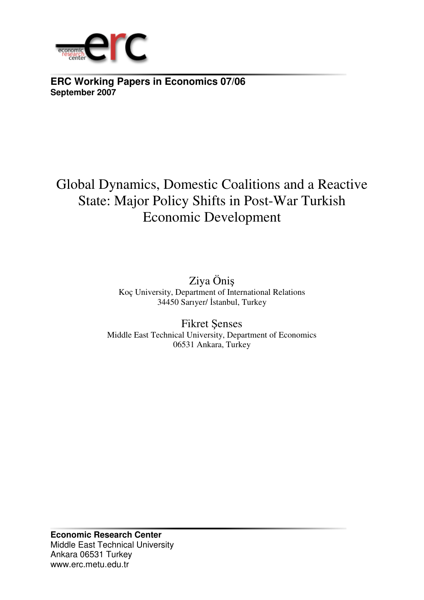

**ERC Working Papers in Economics 07/06 September 2007** 

# Global Dynamics, Domestic Coalitions and a Reactive State: Major Policy Shifts in Post-War Turkish Economic Development

Ziya Öniş Koç University, Department of International Relations 34450 Sarıyer/ İstanbul, Turkey

Fikret Şenses Middle East Technical University, Department of Economics 06531 Ankara, Turkey

**Economic Research Center**  Middle East Technical University Ankara 06531 Turkey www.erc.metu.edu.tr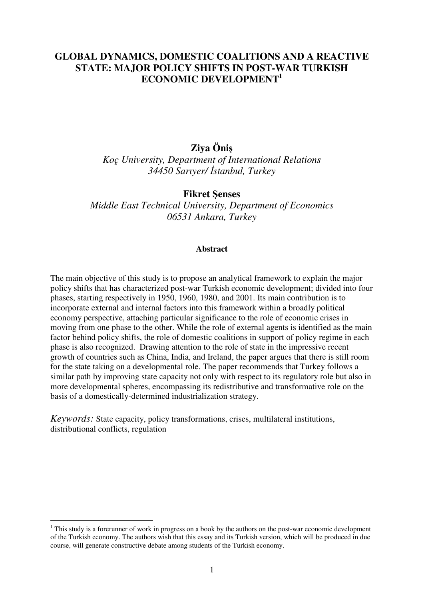### **GLOBAL DYNAMICS, DOMESTIC COALITIONS AND A REACTIVE STATE: MAJOR POLICY SHIFTS IN POST-WAR TURKISH ECONOMIC DEVELOPMENT<sup>1</sup>**

## **Ziya Öni**ş

*Koç University, Department of International Relations 34450 Sarıyer/* İ*stanbul, Turkey* 

#### **Fikret** Ş**enses**

*Middle East Technical University, Department of Economics 06531 Ankara, Turkey* 

#### **Abstract**

The main objective of this study is to propose an analytical framework to explain the major policy shifts that has characterized post-war Turkish economic development; divided into four phases, starting respectively in 1950, 1960, 1980, and 2001. Its main contribution is to incorporate external and internal factors into this framework within a broadly political economy perspective, attaching particular significance to the role of economic crises in moving from one phase to the other. While the role of external agents is identified as the main factor behind policy shifts, the role of domestic coalitions in support of policy regime in each phase is also recognized. Drawing attention to the role of state in the impressive recent growth of countries such as China, India, and Ireland, the paper argues that there is still room for the state taking on a developmental role. The paper recommends that Turkey follows a similar path by improving state capacity not only with respect to its regulatory role but also in more developmental spheres, encompassing its redistributive and transformative role on the basis of a domestically-determined industrialization strategy.

*Keywords:* State capacity, policy transformations, crises, multilateral institutions, distributional conflicts, regulation

 $<sup>1</sup>$  This study is a forerunner of work in progress on a book by the authors on the post-war economic development</sup> of the Turkish economy. The authors wish that this essay and its Turkish version, which will be produced in due course, will generate constructive debate among students of the Turkish economy.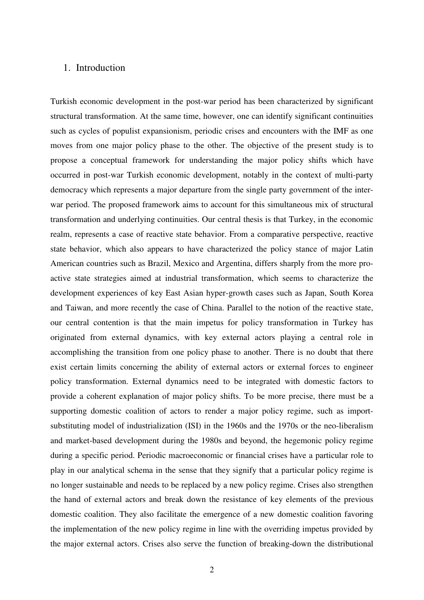#### 1. Introduction

Turkish economic development in the post-war period has been characterized by significant structural transformation. At the same time, however, one can identify significant continuities such as cycles of populist expansionism, periodic crises and encounters with the IMF as one moves from one major policy phase to the other. The objective of the present study is to propose a conceptual framework for understanding the major policy shifts which have occurred in post-war Turkish economic development, notably in the context of multi-party democracy which represents a major departure from the single party government of the interwar period. The proposed framework aims to account for this simultaneous mix of structural transformation and underlying continuities. Our central thesis is that Turkey, in the economic realm, represents a case of reactive state behavior. From a comparative perspective, reactive state behavior, which also appears to have characterized the policy stance of major Latin American countries such as Brazil, Mexico and Argentina, differs sharply from the more proactive state strategies aimed at industrial transformation, which seems to characterize the development experiences of key East Asian hyper-growth cases such as Japan, South Korea and Taiwan, and more recently the case of China. Parallel to the notion of the reactive state, our central contention is that the main impetus for policy transformation in Turkey has originated from external dynamics, with key external actors playing a central role in accomplishing the transition from one policy phase to another. There is no doubt that there exist certain limits concerning the ability of external actors or external forces to engineer policy transformation. External dynamics need to be integrated with domestic factors to provide a coherent explanation of major policy shifts. To be more precise, there must be a supporting domestic coalition of actors to render a major policy regime, such as importsubstituting model of industrialization (ISI) in the 1960s and the 1970s or the neo-liberalism and market-based development during the 1980s and beyond, the hegemonic policy regime during a specific period. Periodic macroeconomic or financial crises have a particular role to play in our analytical schema in the sense that they signify that a particular policy regime is no longer sustainable and needs to be replaced by a new policy regime. Crises also strengthen the hand of external actors and break down the resistance of key elements of the previous domestic coalition. They also facilitate the emergence of a new domestic coalition favoring the implementation of the new policy regime in line with the overriding impetus provided by the major external actors. Crises also serve the function of breaking-down the distributional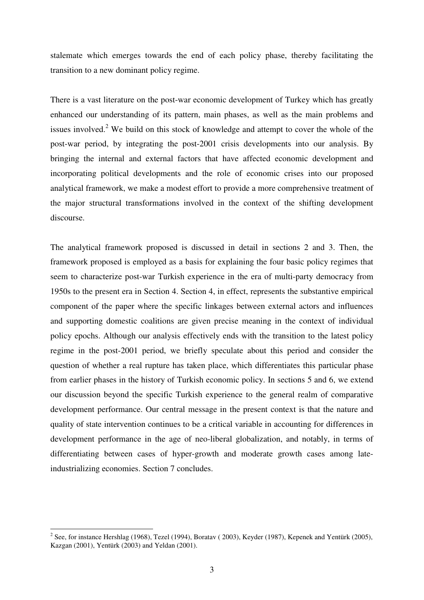stalemate which emerges towards the end of each policy phase, thereby facilitating the transition to a new dominant policy regime.

There is a vast literature on the post-war economic development of Turkey which has greatly enhanced our understanding of its pattern, main phases, as well as the main problems and issues involved.<sup>2</sup> We build on this stock of knowledge and attempt to cover the whole of the post-war period, by integrating the post-2001 crisis developments into our analysis. By bringing the internal and external factors that have affected economic development and incorporating political developments and the role of economic crises into our proposed analytical framework, we make a modest effort to provide a more comprehensive treatment of the major structural transformations involved in the context of the shifting development discourse.

The analytical framework proposed is discussed in detail in sections 2 and 3. Then, the framework proposed is employed as a basis for explaining the four basic policy regimes that seem to characterize post-war Turkish experience in the era of multi-party democracy from 1950s to the present era in Section 4. Section 4, in effect, represents the substantive empirical component of the paper where the specific linkages between external actors and influences and supporting domestic coalitions are given precise meaning in the context of individual policy epochs. Although our analysis effectively ends with the transition to the latest policy regime in the post-2001 period, we briefly speculate about this period and consider the question of whether a real rupture has taken place, which differentiates this particular phase from earlier phases in the history of Turkish economic policy. In sections 5 and 6, we extend our discussion beyond the specific Turkish experience to the general realm of comparative development performance. Our central message in the present context is that the nature and quality of state intervention continues to be a critical variable in accounting for differences in development performance in the age of neo-liberal globalization, and notably, in terms of differentiating between cases of hyper-growth and moderate growth cases among lateindustrializing economies. Section 7 concludes.

<sup>&</sup>lt;sup>2</sup> See, for instance Hershlag (1968), Tezel (1994), Boratav (2003), Keyder (1987), Kepenek and Yentürk (2005), Kazgan (2001), Yentürk (2003) and Yeldan (2001).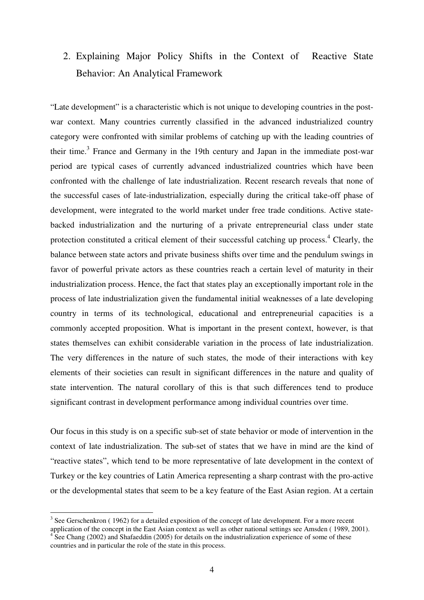# 2. Explaining Major Policy Shifts in the Context of Reactive State Behavior: An Analytical Framework

"Late development" is a characteristic which is not unique to developing countries in the postwar context. Many countries currently classified in the advanced industrialized country category were confronted with similar problems of catching up with the leading countries of their time.<sup>3</sup> France and Germany in the 19th century and Japan in the immediate post-war period are typical cases of currently advanced industrialized countries which have been confronted with the challenge of late industrialization. Recent research reveals that none of the successful cases of late-industrialization, especially during the critical take-off phase of development, were integrated to the world market under free trade conditions. Active statebacked industrialization and the nurturing of a private entrepreneurial class under state protection constituted a critical element of their successful catching up process.<sup>4</sup> Clearly, the balance between state actors and private business shifts over time and the pendulum swings in favor of powerful private actors as these countries reach a certain level of maturity in their industrialization process. Hence, the fact that states play an exceptionally important role in the process of late industrialization given the fundamental initial weaknesses of a late developing country in terms of its technological, educational and entrepreneurial capacities is a commonly accepted proposition. What is important in the present context, however, is that states themselves can exhibit considerable variation in the process of late industrialization. The very differences in the nature of such states, the mode of their interactions with key elements of their societies can result in significant differences in the nature and quality of state intervention. The natural corollary of this is that such differences tend to produce significant contrast in development performance among individual countries over time.

Our focus in this study is on a specific sub-set of state behavior or mode of intervention in the context of late industrialization. The sub-set of states that we have in mind are the kind of "reactive states", which tend to be more representative of late development in the context of Turkey or the key countries of Latin America representing a sharp contrast with the pro-active or the developmental states that seem to be a key feature of the East Asian region. At a certain

 $3$  See Gerschenkron (1962) for a detailed exposition of the concept of late development. For a more recent application of the concept in the East Asian context as well as other national settings see Amsden ( 1989, 2001).  $4 \text{ See Chang}$  (2002) and Shafaeddin (2005) for details on the industrialization experience of some of these

countries and in particular the role of the state in this process.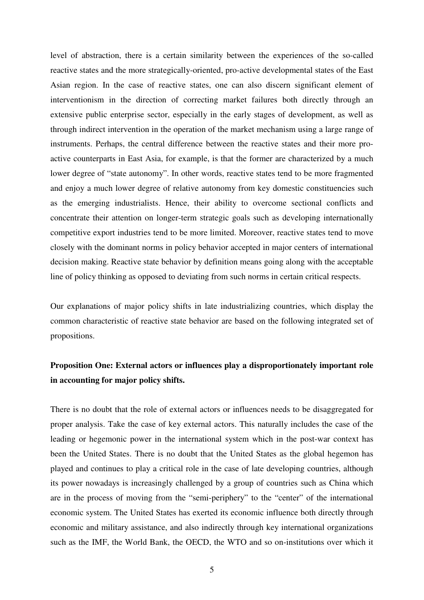level of abstraction, there is a certain similarity between the experiences of the so-called reactive states and the more strategically-oriented, pro-active developmental states of the East Asian region. In the case of reactive states, one can also discern significant element of interventionism in the direction of correcting market failures both directly through an extensive public enterprise sector, especially in the early stages of development, as well as through indirect intervention in the operation of the market mechanism using a large range of instruments. Perhaps, the central difference between the reactive states and their more proactive counterparts in East Asia, for example, is that the former are characterized by a much lower degree of "state autonomy". In other words, reactive states tend to be more fragmented and enjoy a much lower degree of relative autonomy from key domestic constituencies such as the emerging industrialists. Hence, their ability to overcome sectional conflicts and concentrate their attention on longer-term strategic goals such as developing internationally competitive export industries tend to be more limited. Moreover, reactive states tend to move closely with the dominant norms in policy behavior accepted in major centers of international decision making. Reactive state behavior by definition means going along with the acceptable line of policy thinking as opposed to deviating from such norms in certain critical respects.

Our explanations of major policy shifts in late industrializing countries, which display the common characteristic of reactive state behavior are based on the following integrated set of propositions.

## **Proposition One: External actors or influences play a disproportionately important role in accounting for major policy shifts.**

There is no doubt that the role of external actors or influences needs to be disaggregated for proper analysis. Take the case of key external actors. This naturally includes the case of the leading or hegemonic power in the international system which in the post-war context has been the United States. There is no doubt that the United States as the global hegemon has played and continues to play a critical role in the case of late developing countries, although its power nowadays is increasingly challenged by a group of countries such as China which are in the process of moving from the "semi-periphery" to the "center" of the international economic system. The United States has exerted its economic influence both directly through economic and military assistance, and also indirectly through key international organizations such as the IMF, the World Bank, the OECD, the WTO and so on-institutions over which it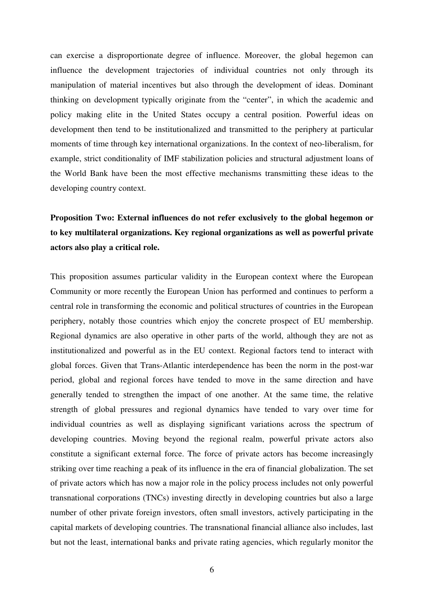can exercise a disproportionate degree of influence. Moreover, the global hegemon can influence the development trajectories of individual countries not only through its manipulation of material incentives but also through the development of ideas. Dominant thinking on development typically originate from the "center", in which the academic and policy making elite in the United States occupy a central position. Powerful ideas on development then tend to be institutionalized and transmitted to the periphery at particular moments of time through key international organizations. In the context of neo-liberalism, for example, strict conditionality of IMF stabilization policies and structural adjustment loans of the World Bank have been the most effective mechanisms transmitting these ideas to the developing country context.

# **Proposition Two: External influences do not refer exclusively to the global hegemon or to key multilateral organizations. Key regional organizations as well as powerful private actors also play a critical role.**

This proposition assumes particular validity in the European context where the European Community or more recently the European Union has performed and continues to perform a central role in transforming the economic and political structures of countries in the European periphery, notably those countries which enjoy the concrete prospect of EU membership. Regional dynamics are also operative in other parts of the world, although they are not as institutionalized and powerful as in the EU context. Regional factors tend to interact with global forces. Given that Trans-Atlantic interdependence has been the norm in the post-war period, global and regional forces have tended to move in the same direction and have generally tended to strengthen the impact of one another. At the same time, the relative strength of global pressures and regional dynamics have tended to vary over time for individual countries as well as displaying significant variations across the spectrum of developing countries. Moving beyond the regional realm, powerful private actors also constitute a significant external force. The force of private actors has become increasingly striking over time reaching a peak of its influence in the era of financial globalization. The set of private actors which has now a major role in the policy process includes not only powerful transnational corporations (TNCs) investing directly in developing countries but also a large number of other private foreign investors, often small investors, actively participating in the capital markets of developing countries. The transnational financial alliance also includes, last but not the least, international banks and private rating agencies, which regularly monitor the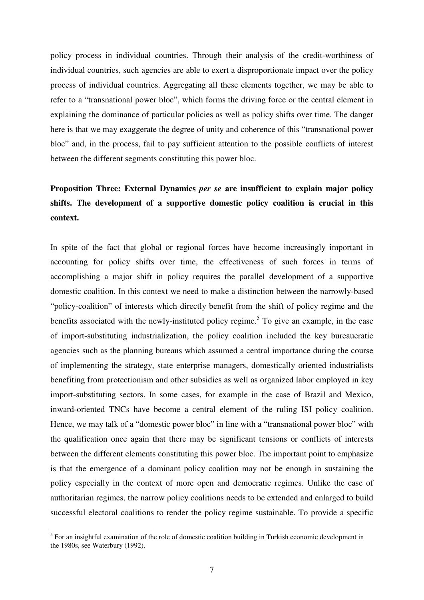policy process in individual countries. Through their analysis of the credit-worthiness of individual countries, such agencies are able to exert a disproportionate impact over the policy process of individual countries. Aggregating all these elements together, we may be able to refer to a "transnational power bloc", which forms the driving force or the central element in explaining the dominance of particular policies as well as policy shifts over time. The danger here is that we may exaggerate the degree of unity and coherence of this "transnational power bloc" and, in the process, fail to pay sufficient attention to the possible conflicts of interest between the different segments constituting this power bloc.

# **Proposition Three: External Dynamics** *per se* **are insufficient to explain major policy shifts. The development of a supportive domestic policy coalition is crucial in this context.**

In spite of the fact that global or regional forces have become increasingly important in accounting for policy shifts over time, the effectiveness of such forces in terms of accomplishing a major shift in policy requires the parallel development of a supportive domestic coalition. In this context we need to make a distinction between the narrowly-based "policy-coalition" of interests which directly benefit from the shift of policy regime and the benefits associated with the newly-instituted policy regime.<sup>5</sup> To give an example, in the case of import-substituting industrialization, the policy coalition included the key bureaucratic agencies such as the planning bureaus which assumed a central importance during the course of implementing the strategy, state enterprise managers, domestically oriented industrialists benefiting from protectionism and other subsidies as well as organized labor employed in key import-substituting sectors. In some cases, for example in the case of Brazil and Mexico, inward-oriented TNCs have become a central element of the ruling ISI policy coalition. Hence, we may talk of a "domestic power bloc" in line with a "transnational power bloc" with the qualification once again that there may be significant tensions or conflicts of interests between the different elements constituting this power bloc. The important point to emphasize is that the emergence of a dominant policy coalition may not be enough in sustaining the policy especially in the context of more open and democratic regimes. Unlike the case of authoritarian regimes, the narrow policy coalitions needs to be extended and enlarged to build successful electoral coalitions to render the policy regime sustainable. To provide a specific

<sup>&</sup>lt;sup>5</sup> For an insightful examination of the role of domestic coalition building in Turkish economic development in the 1980s, see Waterbury (1992).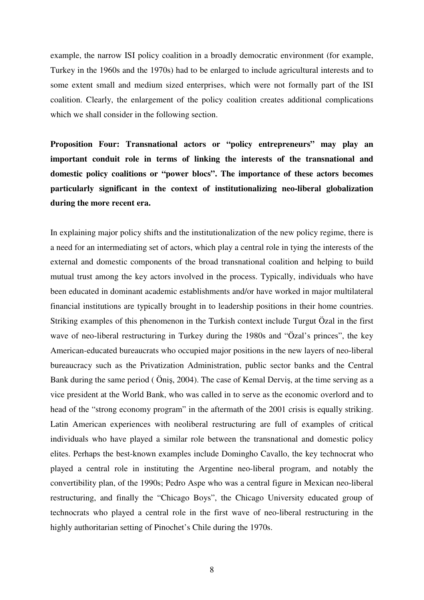example, the narrow ISI policy coalition in a broadly democratic environment (for example, Turkey in the 1960s and the 1970s) had to be enlarged to include agricultural interests and to some extent small and medium sized enterprises, which were not formally part of the ISI coalition. Clearly, the enlargement of the policy coalition creates additional complications which we shall consider in the following section.

**Proposition Four: Transnational actors or "policy entrepreneurs" may play an important conduit role in terms of linking the interests of the transnational and domestic policy coalitions or "power blocs". The importance of these actors becomes particularly significant in the context of institutionalizing neo-liberal globalization during the more recent era.** 

In explaining major policy shifts and the institutionalization of the new policy regime, there is a need for an intermediating set of actors, which play a central role in tying the interests of the external and domestic components of the broad transnational coalition and helping to build mutual trust among the key actors involved in the process. Typically, individuals who have been educated in dominant academic establishments and/or have worked in major multilateral financial institutions are typically brought in to leadership positions in their home countries. Striking examples of this phenomenon in the Turkish context include Turgut Özal in the first wave of neo-liberal restructuring in Turkey during the 1980s and "Özal's princes", the key American-educated bureaucrats who occupied major positions in the new layers of neo-liberal bureaucracy such as the Privatization Administration, public sector banks and the Central Bank during the same period ( Öniş, 2004). The case of Kemal Derviş, at the time serving as a vice president at the World Bank, who was called in to serve as the economic overlord and to head of the "strong economy program" in the aftermath of the 2001 crisis is equally striking. Latin American experiences with neoliberal restructuring are full of examples of critical individuals who have played a similar role between the transnational and domestic policy elites. Perhaps the best-known examples include Domingho Cavallo, the key technocrat who played a central role in instituting the Argentine neo-liberal program, and notably the convertibility plan, of the 1990s; Pedro Aspe who was a central figure in Mexican neo-liberal restructuring, and finally the "Chicago Boys", the Chicago University educated group of technocrats who played a central role in the first wave of neo-liberal restructuring in the highly authoritarian setting of Pinochet's Chile during the 1970s.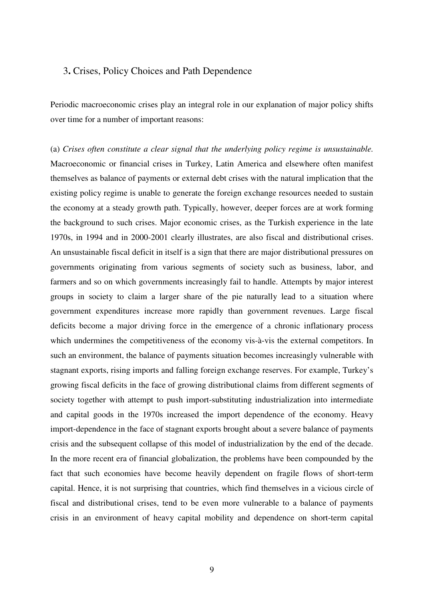#### 3**.** Crises, Policy Choices and Path Dependence

Periodic macroeconomic crises play an integral role in our explanation of major policy shifts over time for a number of important reasons:

(a) *Crises often constitute a clear signal that the underlying policy regime is unsustainable.*  Macroeconomic or financial crises in Turkey, Latin America and elsewhere often manifest themselves as balance of payments or external debt crises with the natural implication that the existing policy regime is unable to generate the foreign exchange resources needed to sustain the economy at a steady growth path. Typically, however, deeper forces are at work forming the background to such crises. Major economic crises, as the Turkish experience in the late 1970s, in 1994 and in 2000-2001 clearly illustrates, are also fiscal and distributional crises. An unsustainable fiscal deficit in itself is a sign that there are major distributional pressures on governments originating from various segments of society such as business, labor, and farmers and so on which governments increasingly fail to handle. Attempts by major interest groups in society to claim a larger share of the pie naturally lead to a situation where government expenditures increase more rapidly than government revenues. Large fiscal deficits become a major driving force in the emergence of a chronic inflationary process which undermines the competitiveness of the economy vis-à-vis the external competitors. In such an environment, the balance of payments situation becomes increasingly vulnerable with stagnant exports, rising imports and falling foreign exchange reserves. For example, Turkey's growing fiscal deficits in the face of growing distributional claims from different segments of society together with attempt to push import-substituting industrialization into intermediate and capital goods in the 1970s increased the import dependence of the economy. Heavy import-dependence in the face of stagnant exports brought about a severe balance of payments crisis and the subsequent collapse of this model of industrialization by the end of the decade. In the more recent era of financial globalization, the problems have been compounded by the fact that such economies have become heavily dependent on fragile flows of short-term capital. Hence, it is not surprising that countries, which find themselves in a vicious circle of fiscal and distributional crises, tend to be even more vulnerable to a balance of payments crisis in an environment of heavy capital mobility and dependence on short-term capital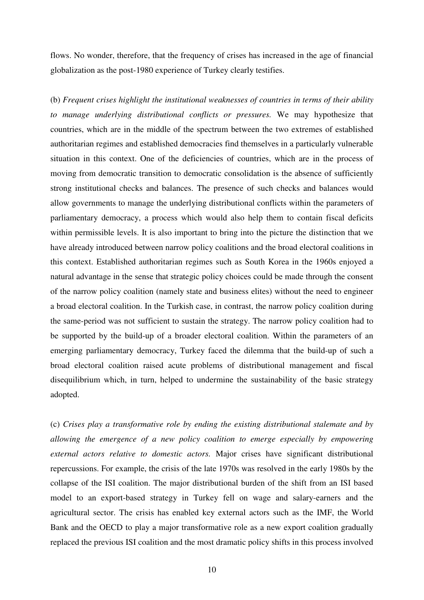flows. No wonder, therefore, that the frequency of crises has increased in the age of financial globalization as the post-1980 experience of Turkey clearly testifies.

(b) *Frequent crises highlight the institutional weaknesses of countries in terms of their ability to manage underlying distributional conflicts or pressures.* We may hypothesize that countries, which are in the middle of the spectrum between the two extremes of established authoritarian regimes and established democracies find themselves in a particularly vulnerable situation in this context. One of the deficiencies of countries, which are in the process of moving from democratic transition to democratic consolidation is the absence of sufficiently strong institutional checks and balances. The presence of such checks and balances would allow governments to manage the underlying distributional conflicts within the parameters of parliamentary democracy, a process which would also help them to contain fiscal deficits within permissible levels. It is also important to bring into the picture the distinction that we have already introduced between narrow policy coalitions and the broad electoral coalitions in this context. Established authoritarian regimes such as South Korea in the 1960s enjoyed a natural advantage in the sense that strategic policy choices could be made through the consent of the narrow policy coalition (namely state and business elites) without the need to engineer a broad electoral coalition. In the Turkish case, in contrast, the narrow policy coalition during the same-period was not sufficient to sustain the strategy. The narrow policy coalition had to be supported by the build-up of a broader electoral coalition. Within the parameters of an emerging parliamentary democracy, Turkey faced the dilemma that the build-up of such a broad electoral coalition raised acute problems of distributional management and fiscal disequilibrium which, in turn, helped to undermine the sustainability of the basic strategy adopted.

(c) *Crises play a transformative role by ending the existing distributional stalemate and by allowing the emergence of a new policy coalition to emerge especially by empowering external actors relative to domestic actors.* Major crises have significant distributional repercussions. For example, the crisis of the late 1970s was resolved in the early 1980s by the collapse of the ISI coalition. The major distributional burden of the shift from an ISI based model to an export-based strategy in Turkey fell on wage and salary-earners and the agricultural sector. The crisis has enabled key external actors such as the IMF, the World Bank and the OECD to play a major transformative role as a new export coalition gradually replaced the previous ISI coalition and the most dramatic policy shifts in this process involved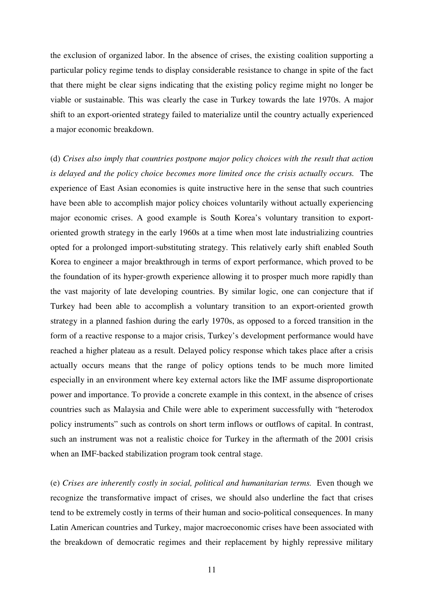the exclusion of organized labor. In the absence of crises, the existing coalition supporting a particular policy regime tends to display considerable resistance to change in spite of the fact that there might be clear signs indicating that the existing policy regime might no longer be viable or sustainable. This was clearly the case in Turkey towards the late 1970s. A major shift to an export-oriented strategy failed to materialize until the country actually experienced a major economic breakdown.

(d) *Crises also imply that countries postpone major policy choices with the result that action is delayed and the policy choice becomes more limited once the crisis actually occurs.* The experience of East Asian economies is quite instructive here in the sense that such countries have been able to accomplish major policy choices voluntarily without actually experiencing major economic crises. A good example is South Korea's voluntary transition to exportoriented growth strategy in the early 1960s at a time when most late industrializing countries opted for a prolonged import-substituting strategy. This relatively early shift enabled South Korea to engineer a major breakthrough in terms of export performance, which proved to be the foundation of its hyper-growth experience allowing it to prosper much more rapidly than the vast majority of late developing countries. By similar logic, one can conjecture that if Turkey had been able to accomplish a voluntary transition to an export-oriented growth strategy in a planned fashion during the early 1970s, as opposed to a forced transition in the form of a reactive response to a major crisis, Turkey's development performance would have reached a higher plateau as a result. Delayed policy response which takes place after a crisis actually occurs means that the range of policy options tends to be much more limited especially in an environment where key external actors like the IMF assume disproportionate power and importance. To provide a concrete example in this context, in the absence of crises countries such as Malaysia and Chile were able to experiment successfully with "heterodox policy instruments" such as controls on short term inflows or outflows of capital. In contrast, such an instrument was not a realistic choice for Turkey in the aftermath of the 2001 crisis when an IMF-backed stabilization program took central stage.

(e) *Crises are inherently costly in social, political and humanitarian terms.* Even though we recognize the transformative impact of crises, we should also underline the fact that crises tend to be extremely costly in terms of their human and socio-political consequences. In many Latin American countries and Turkey, major macroeconomic crises have been associated with the breakdown of democratic regimes and their replacement by highly repressive military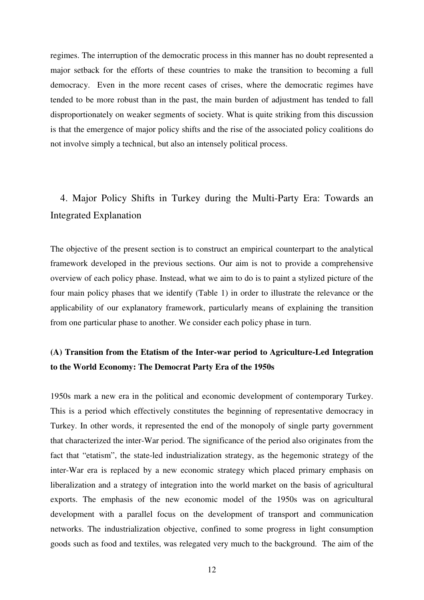regimes. The interruption of the democratic process in this manner has no doubt represented a major setback for the efforts of these countries to make the transition to becoming a full democracy. Even in the more recent cases of crises, where the democratic regimes have tended to be more robust than in the past, the main burden of adjustment has tended to fall disproportionately on weaker segments of society. What is quite striking from this discussion is that the emergence of major policy shifts and the rise of the associated policy coalitions do not involve simply a technical, but also an intensely political process.

# 4. Major Policy Shifts in Turkey during the Multi-Party Era: Towards an Integrated Explanation

The objective of the present section is to construct an empirical counterpart to the analytical framework developed in the previous sections. Our aim is not to provide a comprehensive overview of each policy phase. Instead, what we aim to do is to paint a stylized picture of the four main policy phases that we identify (Table 1) in order to illustrate the relevance or the applicability of our explanatory framework, particularly means of explaining the transition from one particular phase to another. We consider each policy phase in turn.

### **(A) Transition from the Etatism of the Inter-war period to Agriculture-Led Integration to the World Economy: The Democrat Party Era of the 1950s**

1950s mark a new era in the political and economic development of contemporary Turkey. This is a period which effectively constitutes the beginning of representative democracy in Turkey. In other words, it represented the end of the monopoly of single party government that characterized the inter-War period. The significance of the period also originates from the fact that "etatism", the state-led industrialization strategy, as the hegemonic strategy of the inter-War era is replaced by a new economic strategy which placed primary emphasis on liberalization and a strategy of integration into the world market on the basis of agricultural exports. The emphasis of the new economic model of the 1950s was on agricultural development with a parallel focus on the development of transport and communication networks. The industrialization objective, confined to some progress in light consumption goods such as food and textiles, was relegated very much to the background. The aim of the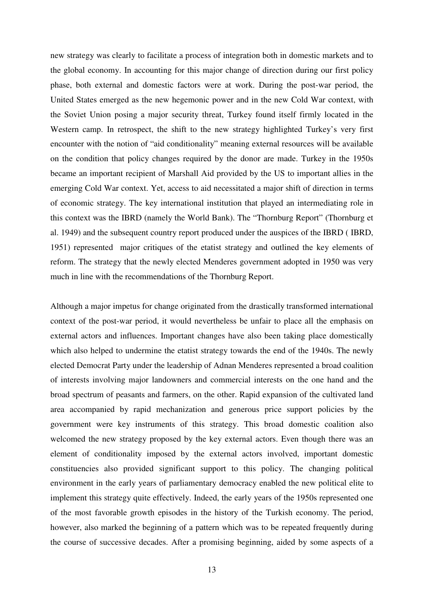new strategy was clearly to facilitate a process of integration both in domestic markets and to the global economy. In accounting for this major change of direction during our first policy phase, both external and domestic factors were at work. During the post-war period, the United States emerged as the new hegemonic power and in the new Cold War context, with the Soviet Union posing a major security threat, Turkey found itself firmly located in the Western camp. In retrospect, the shift to the new strategy highlighted Turkey's very first encounter with the notion of "aid conditionality" meaning external resources will be available on the condition that policy changes required by the donor are made. Turkey in the 1950s became an important recipient of Marshall Aid provided by the US to important allies in the emerging Cold War context. Yet, access to aid necessitated a major shift of direction in terms of economic strategy. The key international institution that played an intermediating role in this context was the IBRD (namely the World Bank). The "Thornburg Report" (Thornburg et al. 1949) and the subsequent country report produced under the auspices of the IBRD ( IBRD, 1951) represented major critiques of the etatist strategy and outlined the key elements of reform. The strategy that the newly elected Menderes government adopted in 1950 was very much in line with the recommendations of the Thornburg Report.

Although a major impetus for change originated from the drastically transformed international context of the post-war period, it would nevertheless be unfair to place all the emphasis on external actors and influences. Important changes have also been taking place domestically which also helped to undermine the etatist strategy towards the end of the 1940s. The newly elected Democrat Party under the leadership of Adnan Menderes represented a broad coalition of interests involving major landowners and commercial interests on the one hand and the broad spectrum of peasants and farmers, on the other. Rapid expansion of the cultivated land area accompanied by rapid mechanization and generous price support policies by the government were key instruments of this strategy. This broad domestic coalition also welcomed the new strategy proposed by the key external actors. Even though there was an element of conditionality imposed by the external actors involved, important domestic constituencies also provided significant support to this policy. The changing political environment in the early years of parliamentary democracy enabled the new political elite to implement this strategy quite effectively. Indeed, the early years of the 1950s represented one of the most favorable growth episodes in the history of the Turkish economy. The period, however, also marked the beginning of a pattern which was to be repeated frequently during the course of successive decades. After a promising beginning, aided by some aspects of a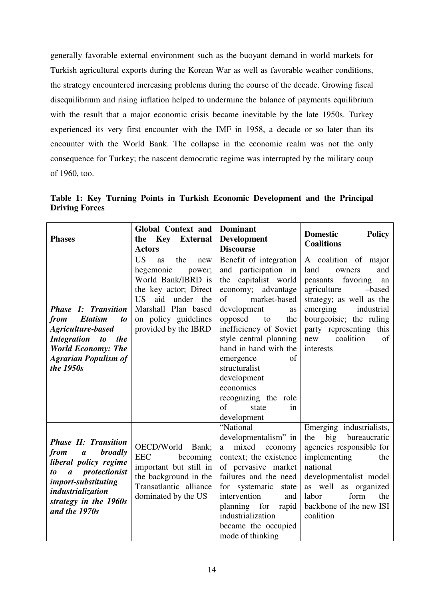generally favorable external environment such as the buoyant demand in world markets for Turkish agricultural exports during the Korean War as well as favorable weather conditions, the strategy encountered increasing problems during the course of the decade. Growing fiscal disequilibrium and rising inflation helped to undermine the balance of payments equilibrium with the result that a major economic crisis became inevitable by the late 1950s. Turkey experienced its very first encounter with the IMF in 1958, a decade or so later than its encounter with the World Bank. The collapse in the economic realm was not the only consequence for Turkey; the nascent democratic regime was interrupted by the military coup of 1960, too.

| <b>Phases</b>                                                                                                                                                                                                                          | <b>Global Context and</b><br>the Key External<br><b>Actors</b>                                                                                                                                      | <b>Dominant</b><br>Development<br><b>Discourse</b>                                                                                                                                                                                                                                                                                                                       | <b>Domestic</b><br><b>Policy</b><br><b>Coalitions</b>                                                                                                                                                                                                |
|----------------------------------------------------------------------------------------------------------------------------------------------------------------------------------------------------------------------------------------|-----------------------------------------------------------------------------------------------------------------------------------------------------------------------------------------------------|--------------------------------------------------------------------------------------------------------------------------------------------------------------------------------------------------------------------------------------------------------------------------------------------------------------------------------------------------------------------------|------------------------------------------------------------------------------------------------------------------------------------------------------------------------------------------------------------------------------------------------------|
| <b>Phase I: Transition</b><br><b>Etatism</b><br>from<br>to<br>Agriculture-based<br><i><b>Integration</b></i><br>$\boldsymbol{to}$<br>the<br><b>World Economy: The</b><br><b>Agrarian Populism of</b><br>the 1950s                      | <b>US</b><br>the<br>as<br>new<br>hegemonic<br>power;<br>World Bank/IBRD is<br>the key actor; Direct<br>US —<br>aid under the<br>Marshall Plan based<br>on policy guidelines<br>provided by the IBRD | Benefit of integration<br>and participation in<br>the capitalist world<br>economy; advantage<br>of<br>market-based<br>development<br>as<br>opposed<br>the<br>to<br>inefficiency of Soviet<br>style central planning<br>hand in hand with the<br>emergence<br>of<br>structuralist<br>development<br>economics<br>recognizing the role<br>of<br>state<br>in<br>development | A coalition of major<br>land<br>and<br>owners<br>favoring<br>peasants<br>an<br>agriculture<br>-based<br>strategy; as well as the<br>emerging<br>industrial<br>bourgeoisie; the ruling<br>party representing this<br>new coalition<br>of<br>interests |
| <b>Phase II: Transition</b><br><b>broadly</b><br>from<br>$\boldsymbol{a}$<br>liberal policy regime<br><i>a protectionist</i><br>to<br><i>import-substituting</i><br><i>industrialization</i><br>strategy in the 1960s<br>and the 1970s | OECD/World Bank;<br><b>EEC</b><br>becoming<br>important but still in<br>the background in the<br>Transatlantic alliance<br>dominated by the US                                                      | "National<br>developmentalism" in<br>a mixed economy<br>context; the existence<br>of pervasive market<br>failures and the need<br>for systematic<br>state<br>intervention<br>and<br>planning for<br>rapid<br>industrialization<br>became the occupied<br>mode of thinking                                                                                                | Emerging industrialists,<br>big<br>bureaucratic<br>the<br>agencies responsible for<br>implementing<br>the<br>national<br>developmentalist model<br>as well as organized<br>form<br>labor<br>the<br>backbone of the new ISI<br>coalition              |

**Table 1: Key Turning Points in Turkish Economic Development and the Principal Driving Forces**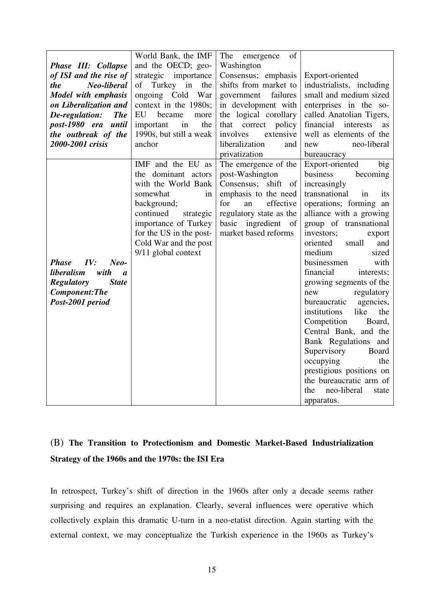|                                               | World Bank, the IMF     | $% \left( \left( \mathcal{A},\mathcal{A}\right) \right) =\left( \mathcal{A},\mathcal{A}\right)$ of<br>The emergence |                              |
|-----------------------------------------------|-------------------------|---------------------------------------------------------------------------------------------------------------------|------------------------------|
| <b>Phase III: Collapse</b>                    | and the OECD; geo-      | Washington                                                                                                          |                              |
| of ISI and the rise of                        | strategic<br>importance | Consensus; emphasis                                                                                                 | Export-oriented              |
| the<br>Neo-liberal                            | of Turkey in<br>the     | shifts from market to                                                                                               | industrialists, including    |
| <b>Model with emphasis</b>                    | ongoing Cold War        | government<br>failures                                                                                              | small and medium sized       |
| on Liberalization and                         | context in the 1980s;   | in development with                                                                                                 | enterprises in the so-       |
| <b>The</b><br>De-regulation:                  | EU<br>became<br>more    | the logical corollary                                                                                               | called Anatolian Tigers,     |
| post-1980 era until                           | the<br>important<br>in  | that correct policy                                                                                                 | financial<br>interests<br>as |
| the outbreak of the                           | 1990s, but still a weak | extensive<br>involves                                                                                               | well as elements of the      |
| 2000-2001 crisis                              | anchor                  | liberalization<br>and                                                                                               | neo-liberal<br>new           |
|                                               |                         | privatization                                                                                                       | bureaucracy                  |
|                                               | IMF and the EU as       | The emergence of the                                                                                                | big<br>Export-oriented       |
|                                               | the dominant actors     | post-Washington                                                                                                     | business<br>becoming         |
|                                               | with the World Bank     | Consensus; shift<br>0f                                                                                              | increasingly                 |
|                                               | somewhat<br>in          | emphasis to the need                                                                                                | transnational<br>its<br>in   |
|                                               | background;             | for<br>effective<br>an                                                                                              | operations; forming an       |
|                                               | continued<br>strategic  | regulatory state as the                                                                                             | alliance with a growing      |
|                                               | importance of Turkey    | basic ingredient<br>of                                                                                              | group of transnational       |
|                                               | for the US in the post- | market based reforms                                                                                                | investors;<br>export         |
|                                               | Cold War and the post   |                                                                                                                     | oriented<br>small<br>and     |
|                                               | 9/11 global context     |                                                                                                                     | medium<br>sized              |
| <b>Phase</b><br>IV:<br>$N$ eo-                |                         |                                                                                                                     | with<br>businessmen          |
| with<br><i>liberalism</i><br>$\boldsymbol{a}$ |                         |                                                                                                                     | financial<br>interests;      |
| <b>State</b><br><b>Regulatory</b>             |                         |                                                                                                                     | growing segments of the      |
| <b>Component:The</b>                          |                         |                                                                                                                     | regulatory<br>new            |
| Post-2001 period                              |                         |                                                                                                                     | agencies,<br>bureaucratic    |
|                                               |                         |                                                                                                                     | institutions<br>like<br>the  |
|                                               |                         |                                                                                                                     | Competition<br>Board,        |
|                                               |                         |                                                                                                                     | Central Bank, and the        |
|                                               |                         |                                                                                                                     | Bank Regulations and         |
|                                               |                         |                                                                                                                     | Supervisory<br>Board         |
|                                               |                         |                                                                                                                     | occupying<br>the             |
|                                               |                         |                                                                                                                     | prestigious positions on     |
|                                               |                         |                                                                                                                     | the bureaucratic arm of      |
|                                               |                         |                                                                                                                     | neo-liberal<br>the<br>state  |
|                                               |                         |                                                                                                                     | apparatus.                   |

# (B) **The Transition to Protectionism and Domestic Market-Based Industrialization Strategy of the 1960s and the 1970s: the ISI Era**

In retrospect, Turkey's shift of direction in the 1960s after only a decade seems rather surprising and requires an explanation. Clearly, several influences were operative which collectively explain this dramatic U-turn in a neo-etatist direction. Again starting with the external context, we may conceptualize the Turkish experience in the 1960s as Turkey's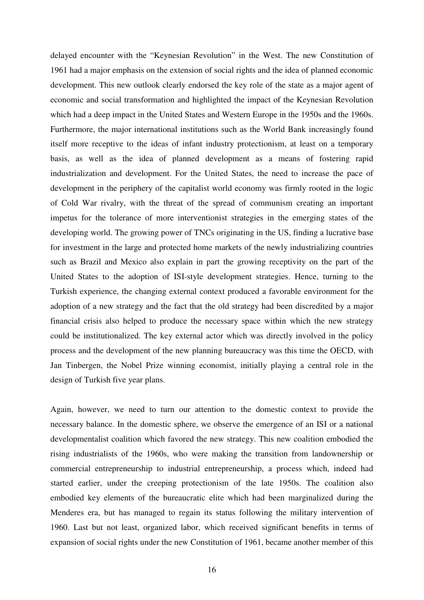delayed encounter with the "Keynesian Revolution" in the West. The new Constitution of 1961 had a major emphasis on the extension of social rights and the idea of planned economic development. This new outlook clearly endorsed the key role of the state as a major agent of economic and social transformation and highlighted the impact of the Keynesian Revolution which had a deep impact in the United States and Western Europe in the 1950s and the 1960s. Furthermore, the major international institutions such as the World Bank increasingly found itself more receptive to the ideas of infant industry protectionism, at least on a temporary basis, as well as the idea of planned development as a means of fostering rapid industrialization and development. For the United States, the need to increase the pace of development in the periphery of the capitalist world economy was firmly rooted in the logic of Cold War rivalry, with the threat of the spread of communism creating an important impetus for the tolerance of more interventionist strategies in the emerging states of the developing world. The growing power of TNCs originating in the US, finding a lucrative base for investment in the large and protected home markets of the newly industrializing countries such as Brazil and Mexico also explain in part the growing receptivity on the part of the United States to the adoption of ISI-style development strategies. Hence, turning to the Turkish experience, the changing external context produced a favorable environment for the adoption of a new strategy and the fact that the old strategy had been discredited by a major financial crisis also helped to produce the necessary space within which the new strategy could be institutionalized. The key external actor which was directly involved in the policy process and the development of the new planning bureaucracy was this time the OECD, with Jan Tinbergen, the Nobel Prize winning economist, initially playing a central role in the design of Turkish five year plans.

Again, however, we need to turn our attention to the domestic context to provide the necessary balance. In the domestic sphere, we observe the emergence of an ISI or a national developmentalist coalition which favored the new strategy. This new coalition embodied the rising industrialists of the 1960s, who were making the transition from landownership or commercial entrepreneurship to industrial entrepreneurship, a process which, indeed had started earlier, under the creeping protectionism of the late 1950s. The coalition also embodied key elements of the bureaucratic elite which had been marginalized during the Menderes era, but has managed to regain its status following the military intervention of 1960. Last but not least, organized labor, which received significant benefits in terms of expansion of social rights under the new Constitution of 1961, became another member of this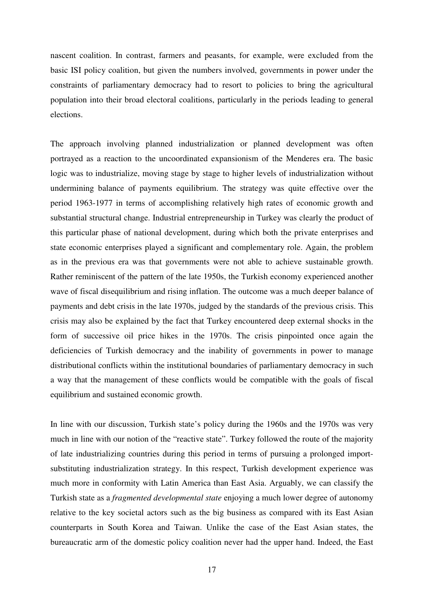nascent coalition. In contrast, farmers and peasants, for example, were excluded from the basic ISI policy coalition, but given the numbers involved, governments in power under the constraints of parliamentary democracy had to resort to policies to bring the agricultural population into their broad electoral coalitions, particularly in the periods leading to general elections.

The approach involving planned industrialization or planned development was often portrayed as a reaction to the uncoordinated expansionism of the Menderes era. The basic logic was to industrialize, moving stage by stage to higher levels of industrialization without undermining balance of payments equilibrium. The strategy was quite effective over the period 1963-1977 in terms of accomplishing relatively high rates of economic growth and substantial structural change. Industrial entrepreneurship in Turkey was clearly the product of this particular phase of national development, during which both the private enterprises and state economic enterprises played a significant and complementary role. Again, the problem as in the previous era was that governments were not able to achieve sustainable growth. Rather reminiscent of the pattern of the late 1950s, the Turkish economy experienced another wave of fiscal disequilibrium and rising inflation. The outcome was a much deeper balance of payments and debt crisis in the late 1970s, judged by the standards of the previous crisis. This crisis may also be explained by the fact that Turkey encountered deep external shocks in the form of successive oil price hikes in the 1970s. The crisis pinpointed once again the deficiencies of Turkish democracy and the inability of governments in power to manage distributional conflicts within the institutional boundaries of parliamentary democracy in such a way that the management of these conflicts would be compatible with the goals of fiscal equilibrium and sustained economic growth.

In line with our discussion, Turkish state's policy during the 1960s and the 1970s was very much in line with our notion of the "reactive state". Turkey followed the route of the majority of late industrializing countries during this period in terms of pursuing a prolonged importsubstituting industrialization strategy. In this respect, Turkish development experience was much more in conformity with Latin America than East Asia. Arguably, we can classify the Turkish state as a *fragmented developmental state* enjoying a much lower degree of autonomy relative to the key societal actors such as the big business as compared with its East Asian counterparts in South Korea and Taiwan. Unlike the case of the East Asian states, the bureaucratic arm of the domestic policy coalition never had the upper hand. Indeed, the East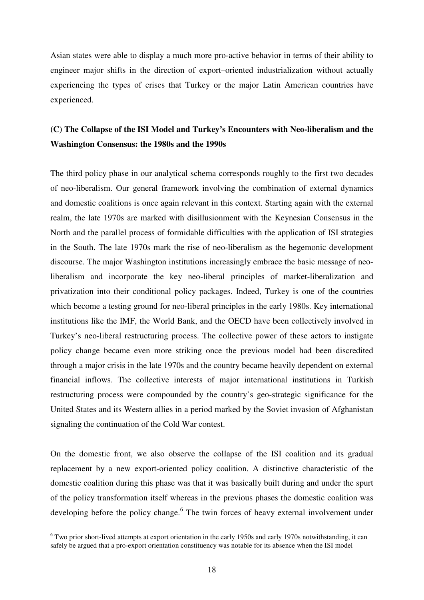Asian states were able to display a much more pro-active behavior in terms of their ability to engineer major shifts in the direction of export–oriented industrialization without actually experiencing the types of crises that Turkey or the major Latin American countries have experienced.

## **(C) The Collapse of the ISI Model and Turkey's Encounters with Neo-liberalism and the Washington Consensus: the 1980s and the 1990s**

The third policy phase in our analytical schema corresponds roughly to the first two decades of neo-liberalism. Our general framework involving the combination of external dynamics and domestic coalitions is once again relevant in this context. Starting again with the external realm, the late 1970s are marked with disillusionment with the Keynesian Consensus in the North and the parallel process of formidable difficulties with the application of ISI strategies in the South. The late 1970s mark the rise of neo-liberalism as the hegemonic development discourse. The major Washington institutions increasingly embrace the basic message of neoliberalism and incorporate the key neo-liberal principles of market-liberalization and privatization into their conditional policy packages. Indeed, Turkey is one of the countries which become a testing ground for neo-liberal principles in the early 1980s. Key international institutions like the IMF, the World Bank, and the OECD have been collectively involved in Turkey's neo-liberal restructuring process. The collective power of these actors to instigate policy change became even more striking once the previous model had been discredited through a major crisis in the late 1970s and the country became heavily dependent on external financial inflows. The collective interests of major international institutions in Turkish restructuring process were compounded by the country's geo-strategic significance for the United States and its Western allies in a period marked by the Soviet invasion of Afghanistan signaling the continuation of the Cold War contest.

On the domestic front, we also observe the collapse of the ISI coalition and its gradual replacement by a new export-oriented policy coalition. A distinctive characteristic of the domestic coalition during this phase was that it was basically built during and under the spurt of the policy transformation itself whereas in the previous phases the domestic coalition was developing before the policy change. <sup>6</sup> The twin forces of heavy external involvement under

 $6$  Two prior short-lived attempts at export orientation in the early 1950s and early 1970s notwithstanding, it can safely be argued that a pro-export orientation constituency was notable for its absence when the ISI model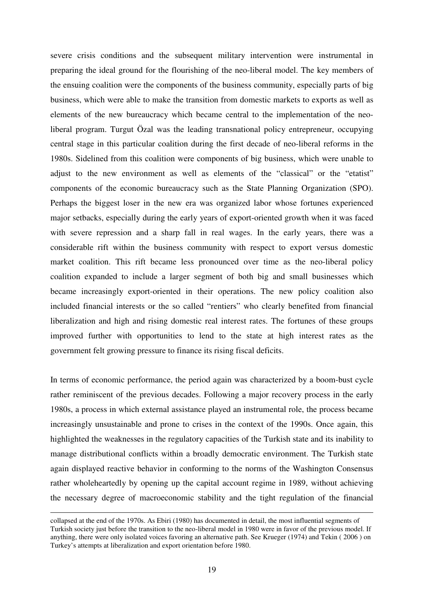severe crisis conditions and the subsequent military intervention were instrumental in preparing the ideal ground for the flourishing of the neo-liberal model. The key members of the ensuing coalition were the components of the business community, especially parts of big business, which were able to make the transition from domestic markets to exports as well as elements of the new bureaucracy which became central to the implementation of the neoliberal program. Turgut Özal was the leading transnational policy entrepreneur, occupying central stage in this particular coalition during the first decade of neo-liberal reforms in the 1980s. Sidelined from this coalition were components of big business, which were unable to adjust to the new environment as well as elements of the "classical" or the "etatist" components of the economic bureaucracy such as the State Planning Organization (SPO). Perhaps the biggest loser in the new era was organized labor whose fortunes experienced major setbacks, especially during the early years of export-oriented growth when it was faced with severe repression and a sharp fall in real wages. In the early years, there was a considerable rift within the business community with respect to export versus domestic market coalition. This rift became less pronounced over time as the neo-liberal policy coalition expanded to include a larger segment of both big and small businesses which became increasingly export-oriented in their operations. The new policy coalition also included financial interests or the so called "rentiers" who clearly benefited from financial liberalization and high and rising domestic real interest rates. The fortunes of these groups improved further with opportunities to lend to the state at high interest rates as the government felt growing pressure to finance its rising fiscal deficits.

In terms of economic performance, the period again was characterized by a boom-bust cycle rather reminiscent of the previous decades. Following a major recovery process in the early 1980s, a process in which external assistance played an instrumental role, the process became increasingly unsustainable and prone to crises in the context of the 1990s. Once again, this highlighted the weaknesses in the regulatory capacities of the Turkish state and its inability to manage distributional conflicts within a broadly democratic environment. The Turkish state again displayed reactive behavior in conforming to the norms of the Washington Consensus rather wholeheartedly by opening up the capital account regime in 1989, without achieving the necessary degree of macroeconomic stability and the tight regulation of the financial

collapsed at the end of the 1970s. As Ebiri (1980) has documented in detail, the most influential segments of Turkish society just before the transition to the neo-liberal model in 1980 were in favor of the previous model. If anything, there were only isolated voices favoring an alternative path. See Krueger (1974) and Tekin ( 2006 ) on Turkey's attempts at liberalization and export orientation before 1980.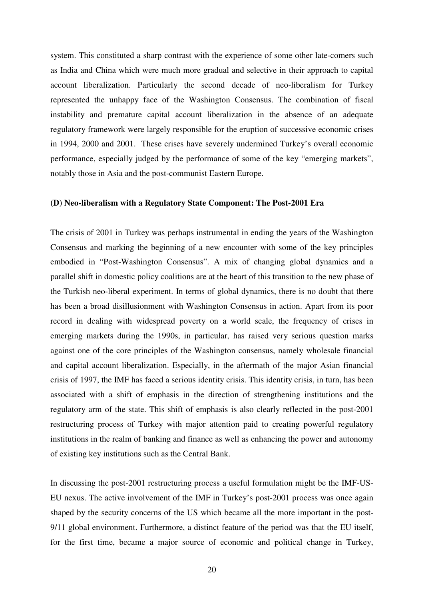system. This constituted a sharp contrast with the experience of some other late-comers such as India and China which were much more gradual and selective in their approach to capital account liberalization. Particularly the second decade of neo-liberalism for Turkey represented the unhappy face of the Washington Consensus. The combination of fiscal instability and premature capital account liberalization in the absence of an adequate regulatory framework were largely responsible for the eruption of successive economic crises in 1994, 2000 and 2001. These crises have severely undermined Turkey's overall economic performance, especially judged by the performance of some of the key "emerging markets", notably those in Asia and the post-communist Eastern Europe.

#### **(D) Neo-liberalism with a Regulatory State Component: The Post-2001 Era**

The crisis of 2001 in Turkey was perhaps instrumental in ending the years of the Washington Consensus and marking the beginning of a new encounter with some of the key principles embodied in "Post-Washington Consensus". A mix of changing global dynamics and a parallel shift in domestic policy coalitions are at the heart of this transition to the new phase of the Turkish neo-liberal experiment. In terms of global dynamics, there is no doubt that there has been a broad disillusionment with Washington Consensus in action. Apart from its poor record in dealing with widespread poverty on a world scale, the frequency of crises in emerging markets during the 1990s, in particular, has raised very serious question marks against one of the core principles of the Washington consensus, namely wholesale financial and capital account liberalization. Especially, in the aftermath of the major Asian financial crisis of 1997, the IMF has faced a serious identity crisis. This identity crisis, in turn, has been associated with a shift of emphasis in the direction of strengthening institutions and the regulatory arm of the state. This shift of emphasis is also clearly reflected in the post-2001 restructuring process of Turkey with major attention paid to creating powerful regulatory institutions in the realm of banking and finance as well as enhancing the power and autonomy of existing key institutions such as the Central Bank.

In discussing the post-2001 restructuring process a useful formulation might be the IMF-US-EU nexus. The active involvement of the IMF in Turkey's post-2001 process was once again shaped by the security concerns of the US which became all the more important in the post-9/11 global environment. Furthermore, a distinct feature of the period was that the EU itself, for the first time, became a major source of economic and political change in Turkey,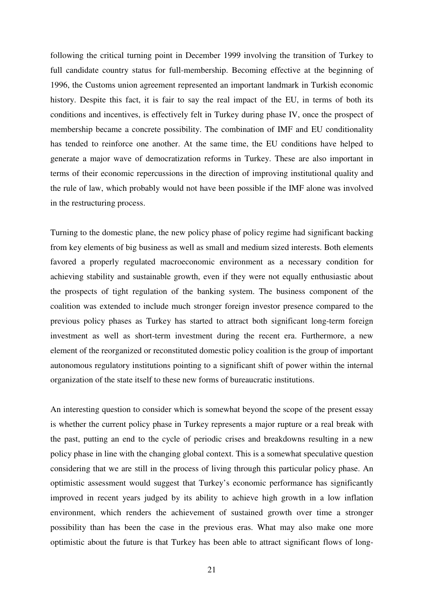following the critical turning point in December 1999 involving the transition of Turkey to full candidate country status for full-membership. Becoming effective at the beginning of 1996, the Customs union agreement represented an important landmark in Turkish economic history. Despite this fact, it is fair to say the real impact of the EU, in terms of both its conditions and incentives, is effectively felt in Turkey during phase IV, once the prospect of membership became a concrete possibility. The combination of IMF and EU conditionality has tended to reinforce one another. At the same time, the EU conditions have helped to generate a major wave of democratization reforms in Turkey. These are also important in terms of their economic repercussions in the direction of improving institutional quality and the rule of law, which probably would not have been possible if the IMF alone was involved in the restructuring process.

Turning to the domestic plane, the new policy phase of policy regime had significant backing from key elements of big business as well as small and medium sized interests. Both elements favored a properly regulated macroeconomic environment as a necessary condition for achieving stability and sustainable growth, even if they were not equally enthusiastic about the prospects of tight regulation of the banking system. The business component of the coalition was extended to include much stronger foreign investor presence compared to the previous policy phases as Turkey has started to attract both significant long-term foreign investment as well as short-term investment during the recent era. Furthermore, a new element of the reorganized or reconstituted domestic policy coalition is the group of important autonomous regulatory institutions pointing to a significant shift of power within the internal organization of the state itself to these new forms of bureaucratic institutions.

An interesting question to consider which is somewhat beyond the scope of the present essay is whether the current policy phase in Turkey represents a major rupture or a real break with the past, putting an end to the cycle of periodic crises and breakdowns resulting in a new policy phase in line with the changing global context. This is a somewhat speculative question considering that we are still in the process of living through this particular policy phase. An optimistic assessment would suggest that Turkey's economic performance has significantly improved in recent years judged by its ability to achieve high growth in a low inflation environment, which renders the achievement of sustained growth over time a stronger possibility than has been the case in the previous eras. What may also make one more optimistic about the future is that Turkey has been able to attract significant flows of long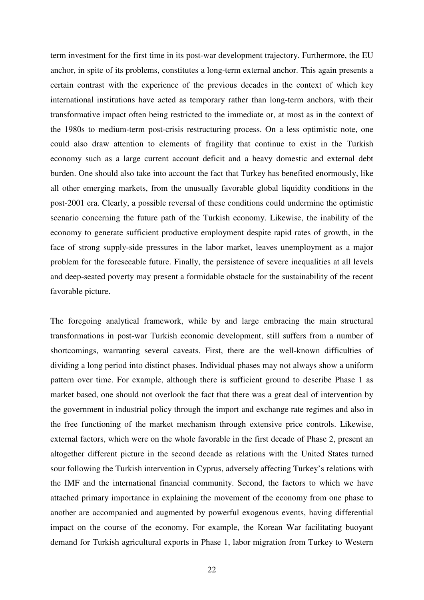term investment for the first time in its post-war development trajectory. Furthermore, the EU anchor, in spite of its problems, constitutes a long-term external anchor. This again presents a certain contrast with the experience of the previous decades in the context of which key international institutions have acted as temporary rather than long-term anchors, with their transformative impact often being restricted to the immediate or, at most as in the context of the 1980s to medium-term post-crisis restructuring process. On a less optimistic note, one could also draw attention to elements of fragility that continue to exist in the Turkish economy such as a large current account deficit and a heavy domestic and external debt burden. One should also take into account the fact that Turkey has benefited enormously, like all other emerging markets, from the unusually favorable global liquidity conditions in the post-2001 era. Clearly, a possible reversal of these conditions could undermine the optimistic scenario concerning the future path of the Turkish economy. Likewise, the inability of the economy to generate sufficient productive employment despite rapid rates of growth, in the face of strong supply-side pressures in the labor market, leaves unemployment as a major problem for the foreseeable future. Finally, the persistence of severe inequalities at all levels and deep-seated poverty may present a formidable obstacle for the sustainability of the recent favorable picture.

The foregoing analytical framework, while by and large embracing the main structural transformations in post-war Turkish economic development, still suffers from a number of shortcomings, warranting several caveats. First, there are the well-known difficulties of dividing a long period into distinct phases. Individual phases may not always show a uniform pattern over time. For example, although there is sufficient ground to describe Phase 1 as market based, one should not overlook the fact that there was a great deal of intervention by the government in industrial policy through the import and exchange rate regimes and also in the free functioning of the market mechanism through extensive price controls. Likewise, external factors, which were on the whole favorable in the first decade of Phase 2, present an altogether different picture in the second decade as relations with the United States turned sour following the Turkish intervention in Cyprus, adversely affecting Turkey's relations with the IMF and the international financial community. Second, the factors to which we have attached primary importance in explaining the movement of the economy from one phase to another are accompanied and augmented by powerful exogenous events, having differential impact on the course of the economy. For example, the Korean War facilitating buoyant demand for Turkish agricultural exports in Phase 1, labor migration from Turkey to Western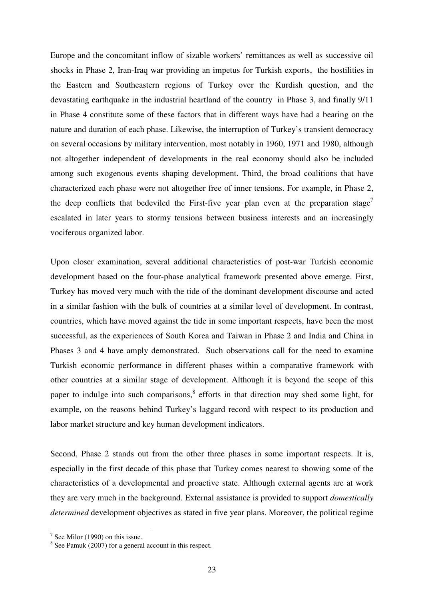Europe and the concomitant inflow of sizable workers' remittances as well as successive oil shocks in Phase 2, Iran-Iraq war providing an impetus for Turkish exports, the hostilities in the Eastern and Southeastern regions of Turkey over the Kurdish question, and the devastating earthquake in the industrial heartland of the country in Phase 3, and finally 9/11 in Phase 4 constitute some of these factors that in different ways have had a bearing on the nature and duration of each phase. Likewise, the interruption of Turkey's transient democracy on several occasions by military intervention, most notably in 1960, 1971 and 1980, although not altogether independent of developments in the real economy should also be included among such exogenous events shaping development. Third, the broad coalitions that have characterized each phase were not altogether free of inner tensions. For example, in Phase 2, the deep conflicts that bedeviled the First-five year plan even at the preparation stage<sup> $\prime$ </sup> escalated in later years to stormy tensions between business interests and an increasingly vociferous organized labor.

Upon closer examination, several additional characteristics of post-war Turkish economic development based on the four-phase analytical framework presented above emerge. First, Turkey has moved very much with the tide of the dominant development discourse and acted in a similar fashion with the bulk of countries at a similar level of development. In contrast, countries, which have moved against the tide in some important respects, have been the most successful, as the experiences of South Korea and Taiwan in Phase 2 and India and China in Phases 3 and 4 have amply demonstrated. Such observations call for the need to examine Turkish economic performance in different phases within a comparative framework with other countries at a similar stage of development. Although it is beyond the scope of this paper to indulge into such comparisons, $<sup>8</sup>$  efforts in that direction may shed some light, for</sup> example, on the reasons behind Turkey's laggard record with respect to its production and labor market structure and key human development indicators.

Second, Phase 2 stands out from the other three phases in some important respects. It is, especially in the first decade of this phase that Turkey comes nearest to showing some of the characteristics of a developmental and proactive state. Although external agents are at work they are very much in the background. External assistance is provided to support *domestically determined* development objectives as stated in five year plans. Moreover, the political regime

 $7$  See Milor (1990) on this issue.

<sup>&</sup>lt;sup>8</sup> See Pamuk (2007) for a general account in this respect.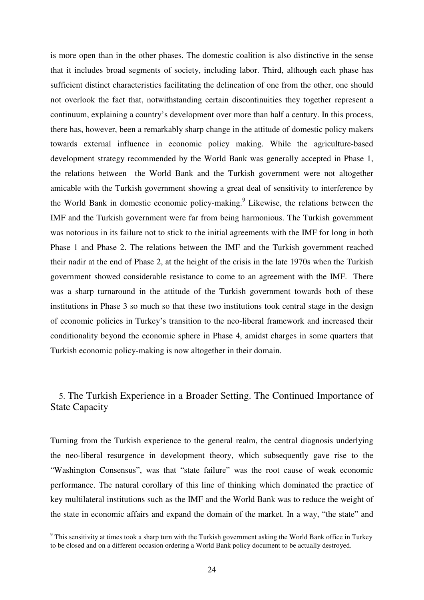is more open than in the other phases. The domestic coalition is also distinctive in the sense that it includes broad segments of society, including labor. Third, although each phase has sufficient distinct characteristics facilitating the delineation of one from the other, one should not overlook the fact that, notwithstanding certain discontinuities they together represent a continuum, explaining a country's development over more than half a century. In this process, there has, however, been a remarkably sharp change in the attitude of domestic policy makers towards external influence in economic policy making. While the agriculture-based development strategy recommended by the World Bank was generally accepted in Phase 1, the relations between the World Bank and the Turkish government were not altogether amicable with the Turkish government showing a great deal of sensitivity to interference by the World Bank in domestic economic policy-making.<sup>9</sup> Likewise, the relations between the IMF and the Turkish government were far from being harmonious. The Turkish government was notorious in its failure not to stick to the initial agreements with the IMF for long in both Phase 1 and Phase 2. The relations between the IMF and the Turkish government reached their nadir at the end of Phase 2, at the height of the crisis in the late 1970s when the Turkish government showed considerable resistance to come to an agreement with the IMF. There was a sharp turnaround in the attitude of the Turkish government towards both of these institutions in Phase 3 so much so that these two institutions took central stage in the design of economic policies in Turkey's transition to the neo-liberal framework and increased their conditionality beyond the economic sphere in Phase 4, amidst charges in some quarters that Turkish economic policy-making is now altogether in their domain.

### 5. The Turkish Experience in a Broader Setting. The Continued Importance of State Capacity

Turning from the Turkish experience to the general realm, the central diagnosis underlying the neo-liberal resurgence in development theory, which subsequently gave rise to the "Washington Consensus", was that "state failure" was the root cause of weak economic performance. The natural corollary of this line of thinking which dominated the practice of key multilateral institutions such as the IMF and the World Bank was to reduce the weight of the state in economic affairs and expand the domain of the market. In a way, "the state" and

<sup>&</sup>lt;sup>9</sup> This sensitivity at times took a sharp turn with the Turkish government asking the World Bank office in Turkey to be closed and on a different occasion ordering a World Bank policy document to be actually destroyed.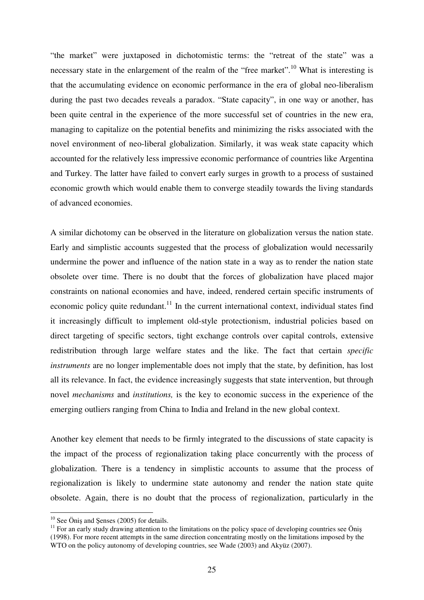"the market" were juxtaposed in dichotomistic terms: the "retreat of the state" was a necessary state in the enlargement of the realm of the "free market".<sup>10</sup> What is interesting is that the accumulating evidence on economic performance in the era of global neo-liberalism during the past two decades reveals a paradox. "State capacity", in one way or another, has been quite central in the experience of the more successful set of countries in the new era, managing to capitalize on the potential benefits and minimizing the risks associated with the novel environment of neo-liberal globalization. Similarly, it was weak state capacity which accounted for the relatively less impressive economic performance of countries like Argentina and Turkey. The latter have failed to convert early surges in growth to a process of sustained economic growth which would enable them to converge steadily towards the living standards of advanced economies.

A similar dichotomy can be observed in the literature on globalization versus the nation state. Early and simplistic accounts suggested that the process of globalization would necessarily undermine the power and influence of the nation state in a way as to render the nation state obsolete over time. There is no doubt that the forces of globalization have placed major constraints on national economies and have, indeed, rendered certain specific instruments of economic policy quite redundant.<sup>11</sup> In the current international context, individual states find it increasingly difficult to implement old-style protectionism, industrial policies based on direct targeting of specific sectors, tight exchange controls over capital controls, extensive redistribution through large welfare states and the like. The fact that certain *specific instruments* are no longer implementable does not imply that the state, by definition, has lost all its relevance. In fact, the evidence increasingly suggests that state intervention, but through novel *mechanisms* and *institutions,* is the key to economic success in the experience of the emerging outliers ranging from China to India and Ireland in the new global context.

Another key element that needs to be firmly integrated to the discussions of state capacity is the impact of the process of regionalization taking place concurrently with the process of globalization. There is a tendency in simplistic accounts to assume that the process of regionalization is likely to undermine state autonomy and render the nation state quite obsolete. Again, there is no doubt that the process of regionalization, particularly in the

 $10$  See Öniş and Şenses (2005) for details.

<sup>&</sup>lt;sup>11</sup> For an early study drawing attention to the limitations on the policy space of developing countries see Öniş (1998). For more recent attempts in the same direction concentrating mostly on the limitations imposed by the WTO on the policy autonomy of developing countries, see Wade (2003) and Akyüz (2007).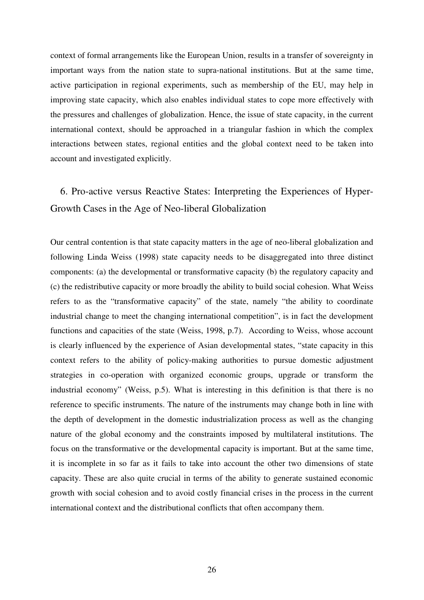context of formal arrangements like the European Union, results in a transfer of sovereignty in important ways from the nation state to supra-national institutions. But at the same time, active participation in regional experiments, such as membership of the EU, may help in improving state capacity, which also enables individual states to cope more effectively with the pressures and challenges of globalization. Hence, the issue of state capacity, in the current international context, should be approached in a triangular fashion in which the complex interactions between states, regional entities and the global context need to be taken into account and investigated explicitly.

# 6. Pro-active versus Reactive States: Interpreting the Experiences of Hyper-Growth Cases in the Age of Neo-liberal Globalization

Our central contention is that state capacity matters in the age of neo-liberal globalization and following Linda Weiss (1998) state capacity needs to be disaggregated into three distinct components: (a) the developmental or transformative capacity (b) the regulatory capacity and (c) the redistributive capacity or more broadly the ability to build social cohesion. What Weiss refers to as the "transformative capacity" of the state, namely "the ability to coordinate industrial change to meet the changing international competition", is in fact the development functions and capacities of the state (Weiss, 1998, p.7). According to Weiss, whose account is clearly influenced by the experience of Asian developmental states, "state capacity in this context refers to the ability of policy-making authorities to pursue domestic adjustment strategies in co-operation with organized economic groups, upgrade or transform the industrial economy" (Weiss, p.5). What is interesting in this definition is that there is no reference to specific instruments. The nature of the instruments may change both in line with the depth of development in the domestic industrialization process as well as the changing nature of the global economy and the constraints imposed by multilateral institutions. The focus on the transformative or the developmental capacity is important. But at the same time, it is incomplete in so far as it fails to take into account the other two dimensions of state capacity. These are also quite crucial in terms of the ability to generate sustained economic growth with social cohesion and to avoid costly financial crises in the process in the current international context and the distributional conflicts that often accompany them.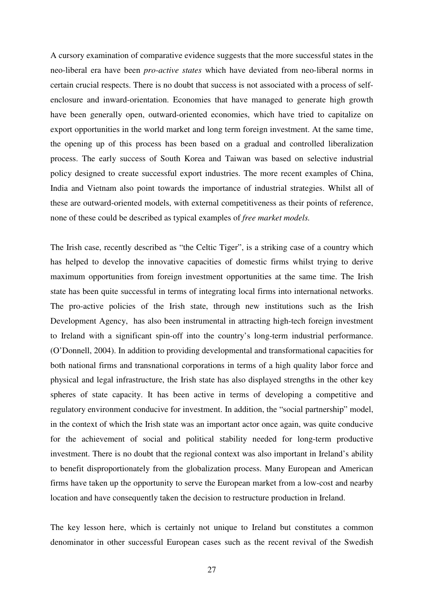A cursory examination of comparative evidence suggests that the more successful states in the neo-liberal era have been *pro-active states* which have deviated from neo-liberal norms in certain crucial respects. There is no doubt that success is not associated with a process of selfenclosure and inward-orientation. Economies that have managed to generate high growth have been generally open, outward-oriented economies, which have tried to capitalize on export opportunities in the world market and long term foreign investment. At the same time, the opening up of this process has been based on a gradual and controlled liberalization process. The early success of South Korea and Taiwan was based on selective industrial policy designed to create successful export industries. The more recent examples of China, India and Vietnam also point towards the importance of industrial strategies. Whilst all of these are outward-oriented models, with external competitiveness as their points of reference, none of these could be described as typical examples of *free market models.*

The Irish case, recently described as "the Celtic Tiger", is a striking case of a country which has helped to develop the innovative capacities of domestic firms whilst trying to derive maximum opportunities from foreign investment opportunities at the same time. The Irish state has been quite successful in terms of integrating local firms into international networks. The pro-active policies of the Irish state, through new institutions such as the Irish Development Agency, has also been instrumental in attracting high-tech foreign investment to Ireland with a significant spin-off into the country's long-term industrial performance. (O'Donnell, 2004). In addition to providing developmental and transformational capacities for both national firms and transnational corporations in terms of a high quality labor force and physical and legal infrastructure, the Irish state has also displayed strengths in the other key spheres of state capacity. It has been active in terms of developing a competitive and regulatory environment conducive for investment. In addition, the "social partnership" model, in the context of which the Irish state was an important actor once again, was quite conducive for the achievement of social and political stability needed for long-term productive investment. There is no doubt that the regional context was also important in Ireland's ability to benefit disproportionately from the globalization process. Many European and American firms have taken up the opportunity to serve the European market from a low-cost and nearby location and have consequently taken the decision to restructure production in Ireland.

The key lesson here, which is certainly not unique to Ireland but constitutes a common denominator in other successful European cases such as the recent revival of the Swedish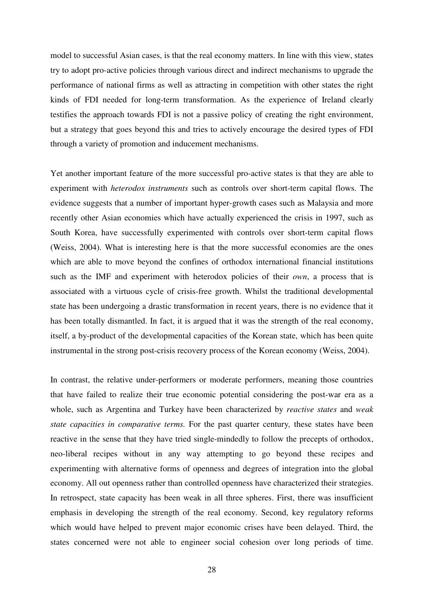model to successful Asian cases, is that the real economy matters. In line with this view, states try to adopt pro-active policies through various direct and indirect mechanisms to upgrade the performance of national firms as well as attracting in competition with other states the right kinds of FDI needed for long-term transformation. As the experience of Ireland clearly testifies the approach towards FDI is not a passive policy of creating the right environment, but a strategy that goes beyond this and tries to actively encourage the desired types of FDI through a variety of promotion and inducement mechanisms.

Yet another important feature of the more successful pro-active states is that they are able to experiment with *heterodox instruments* such as controls over short-term capital flows. The evidence suggests that a number of important hyper-growth cases such as Malaysia and more recently other Asian economies which have actually experienced the crisis in 1997, such as South Korea, have successfully experimented with controls over short-term capital flows (Weiss, 2004). What is interesting here is that the more successful economies are the ones which are able to move beyond the confines of orthodox international financial institutions such as the IMF and experiment with heterodox policies of their *own*, a process that is associated with a virtuous cycle of crisis-free growth. Whilst the traditional developmental state has been undergoing a drastic transformation in recent years, there is no evidence that it has been totally dismantled. In fact, it is argued that it was the strength of the real economy, itself, a by-product of the developmental capacities of the Korean state, which has been quite instrumental in the strong post-crisis recovery process of the Korean economy (Weiss, 2004).

In contrast, the relative under-performers or moderate performers, meaning those countries that have failed to realize their true economic potential considering the post-war era as a whole, such as Argentina and Turkey have been characterized by *reactive states* and *weak state capacities in comparative terms.* For the past quarter century*,* these states have been reactive in the sense that they have tried single-mindedly to follow the precepts of orthodox, neo-liberal recipes without in any way attempting to go beyond these recipes and experimenting with alternative forms of openness and degrees of integration into the global economy. All out openness rather than controlled openness have characterized their strategies. In retrospect, state capacity has been weak in all three spheres. First, there was insufficient emphasis in developing the strength of the real economy. Second, key regulatory reforms which would have helped to prevent major economic crises have been delayed. Third, the states concerned were not able to engineer social cohesion over long periods of time.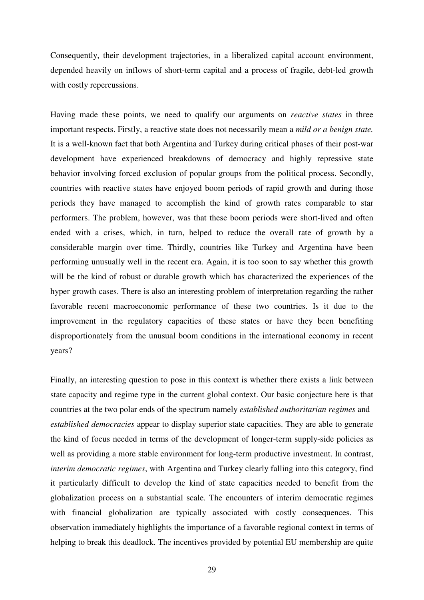Consequently, their development trajectories, in a liberalized capital account environment, depended heavily on inflows of short-term capital and a process of fragile, debt-led growth with costly repercussions.

Having made these points, we need to qualify our arguments on *reactive states* in three important respects. Firstly, a reactive state does not necessarily mean a *mild or a benign state.* It is a well-known fact that both Argentina and Turkey during critical phases of their post-war development have experienced breakdowns of democracy and highly repressive state behavior involving forced exclusion of popular groups from the political process. Secondly, countries with reactive states have enjoyed boom periods of rapid growth and during those periods they have managed to accomplish the kind of growth rates comparable to star performers. The problem, however, was that these boom periods were short-lived and often ended with a crises, which, in turn, helped to reduce the overall rate of growth by a considerable margin over time. Thirdly, countries like Turkey and Argentina have been performing unusually well in the recent era. Again, it is too soon to say whether this growth will be the kind of robust or durable growth which has characterized the experiences of the hyper growth cases. There is also an interesting problem of interpretation regarding the rather favorable recent macroeconomic performance of these two countries. Is it due to the improvement in the regulatory capacities of these states or have they been benefiting disproportionately from the unusual boom conditions in the international economy in recent years?

Finally, an interesting question to pose in this context is whether there exists a link between state capacity and regime type in the current global context. Our basic conjecture here is that countries at the two polar ends of the spectrum namely *established authoritarian regimes* and *established democracies* appear to display superior state capacities. They are able to generate the kind of focus needed in terms of the development of longer-term supply-side policies as well as providing a more stable environment for long-term productive investment. In contrast, *interim democratic regimes*, with Argentina and Turkey clearly falling into this category, find it particularly difficult to develop the kind of state capacities needed to benefit from the globalization process on a substantial scale. The encounters of interim democratic regimes with financial globalization are typically associated with costly consequences. This observation immediately highlights the importance of a favorable regional context in terms of helping to break this deadlock. The incentives provided by potential EU membership are quite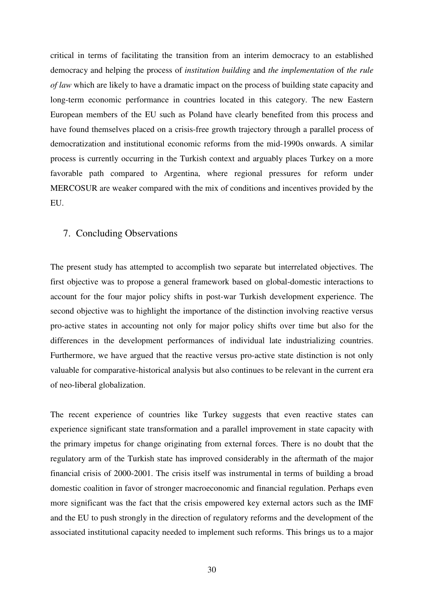critical in terms of facilitating the transition from an interim democracy to an established democracy and helping the process of *institution building* and *the implementation* of *the rule of law* which are likely to have a dramatic impact on the process of building state capacity and long-term economic performance in countries located in this category. The new Eastern European members of the EU such as Poland have clearly benefited from this process and have found themselves placed on a crisis-free growth trajectory through a parallel process of democratization and institutional economic reforms from the mid-1990s onwards. A similar process is currently occurring in the Turkish context and arguably places Turkey on a more favorable path compared to Argentina, where regional pressures for reform under MERCOSUR are weaker compared with the mix of conditions and incentives provided by the EU.

#### 7. Concluding Observations

The present study has attempted to accomplish two separate but interrelated objectives. The first objective was to propose a general framework based on global-domestic interactions to account for the four major policy shifts in post-war Turkish development experience. The second objective was to highlight the importance of the distinction involving reactive versus pro-active states in accounting not only for major policy shifts over time but also for the differences in the development performances of individual late industrializing countries. Furthermore, we have argued that the reactive versus pro-active state distinction is not only valuable for comparative-historical analysis but also continues to be relevant in the current era of neo-liberal globalization.

The recent experience of countries like Turkey suggests that even reactive states can experience significant state transformation and a parallel improvement in state capacity with the primary impetus for change originating from external forces. There is no doubt that the regulatory arm of the Turkish state has improved considerably in the aftermath of the major financial crisis of 2000-2001. The crisis itself was instrumental in terms of building a broad domestic coalition in favor of stronger macroeconomic and financial regulation. Perhaps even more significant was the fact that the crisis empowered key external actors such as the IMF and the EU to push strongly in the direction of regulatory reforms and the development of the associated institutional capacity needed to implement such reforms. This brings us to a major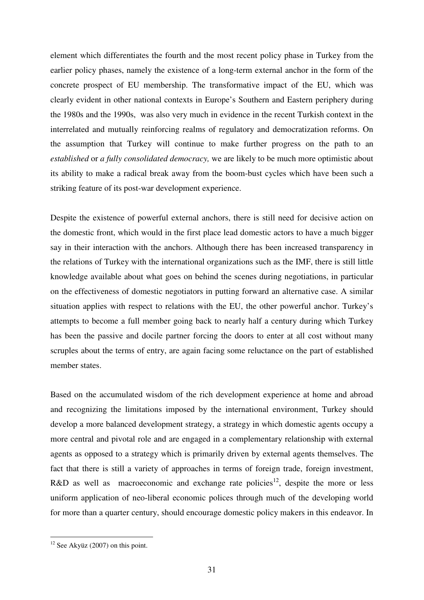element which differentiates the fourth and the most recent policy phase in Turkey from the earlier policy phases, namely the existence of a long-term external anchor in the form of the concrete prospect of EU membership. The transformative impact of the EU, which was clearly evident in other national contexts in Europe's Southern and Eastern periphery during the 1980s and the 1990s, was also very much in evidence in the recent Turkish context in the interrelated and mutually reinforcing realms of regulatory and democratization reforms. On the assumption that Turkey will continue to make further progress on the path to an *established* or *a fully consolidated democracy,* we are likely to be much more optimistic about its ability to make a radical break away from the boom-bust cycles which have been such a striking feature of its post-war development experience.

Despite the existence of powerful external anchors, there is still need for decisive action on the domestic front, which would in the first place lead domestic actors to have a much bigger say in their interaction with the anchors. Although there has been increased transparency in the relations of Turkey with the international organizations such as the IMF, there is still little knowledge available about what goes on behind the scenes during negotiations, in particular on the effectiveness of domestic negotiators in putting forward an alternative case. A similar situation applies with respect to relations with the EU, the other powerful anchor. Turkey's attempts to become a full member going back to nearly half a century during which Turkey has been the passive and docile partner forcing the doors to enter at all cost without many scruples about the terms of entry, are again facing some reluctance on the part of established member states.

Based on the accumulated wisdom of the rich development experience at home and abroad and recognizing the limitations imposed by the international environment, Turkey should develop a more balanced development strategy, a strategy in which domestic agents occupy a more central and pivotal role and are engaged in a complementary relationship with external agents as opposed to a strategy which is primarily driven by external agents themselves. The fact that there is still a variety of approaches in terms of foreign trade, foreign investment, R&D as well as macroeconomic and exchange rate policies<sup>12</sup>, despite the more or less uniform application of neo-liberal economic polices through much of the developing world for more than a quarter century, should encourage domestic policy makers in this endeavor. In

 $12$  See Akyüz (2007) on this point.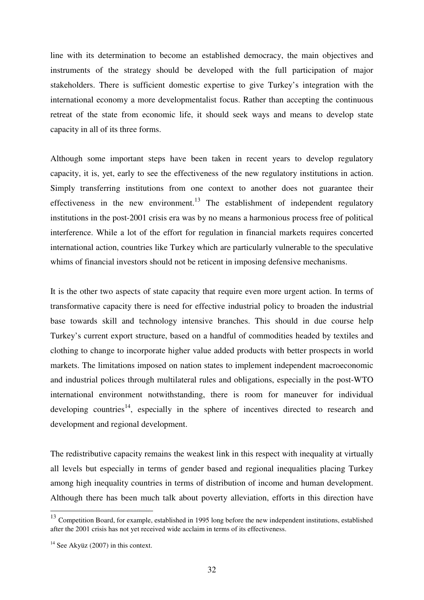line with its determination to become an established democracy, the main objectives and instruments of the strategy should be developed with the full participation of major stakeholders. There is sufficient domestic expertise to give Turkey's integration with the international economy a more developmentalist focus. Rather than accepting the continuous retreat of the state from economic life, it should seek ways and means to develop state capacity in all of its three forms.

Although some important steps have been taken in recent years to develop regulatory capacity, it is, yet, early to see the effectiveness of the new regulatory institutions in action. Simply transferring institutions from one context to another does not guarantee their effectiveness in the new environment.<sup>13</sup> The establishment of independent regulatory institutions in the post-2001 crisis era was by no means a harmonious process free of political interference. While a lot of the effort for regulation in financial markets requires concerted international action, countries like Turkey which are particularly vulnerable to the speculative whims of financial investors should not be reticent in imposing defensive mechanisms.

It is the other two aspects of state capacity that require even more urgent action. In terms of transformative capacity there is need for effective industrial policy to broaden the industrial base towards skill and technology intensive branches. This should in due course help Turkey's current export structure, based on a handful of commodities headed by textiles and clothing to change to incorporate higher value added products with better prospects in world markets. The limitations imposed on nation states to implement independent macroeconomic and industrial polices through multilateral rules and obligations, especially in the post-WTO international environment notwithstanding, there is room for maneuver for individual developing countries<sup>14</sup>, especially in the sphere of incentives directed to research and development and regional development.

The redistributive capacity remains the weakest link in this respect with inequality at virtually all levels but especially in terms of gender based and regional inequalities placing Turkey among high inequality countries in terms of distribution of income and human development. Although there has been much talk about poverty alleviation, efforts in this direction have

<sup>&</sup>lt;sup>13</sup> Competition Board, for example, established in 1995 long before the new independent institutions, established after the 2001 crisis has not yet received wide acclaim in terms of its effectiveness.

 $14$  See Akyüz (2007) in this context.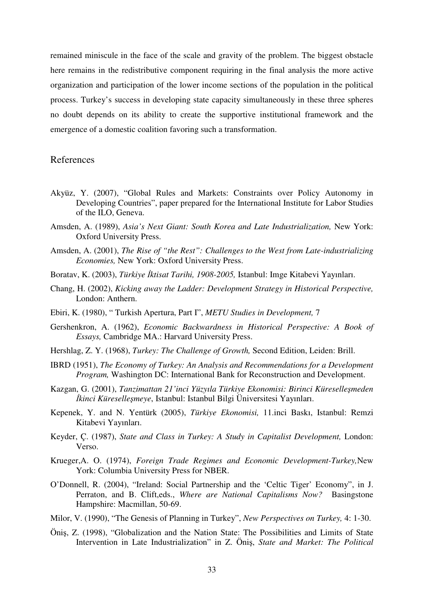remained miniscule in the face of the scale and gravity of the problem. The biggest obstacle here remains in the redistributive component requiring in the final analysis the more active organization and participation of the lower income sections of the population in the political process. Turkey's success in developing state capacity simultaneously in these three spheres no doubt depends on its ability to create the supportive institutional framework and the emergence of a domestic coalition favoring such a transformation.

#### References

- Akyüz, Y. (2007), "Global Rules and Markets: Constraints over Policy Autonomy in Developing Countries", paper prepared for the International Institute for Labor Studies of the ILO, Geneva.
- Amsden, A. (1989), *Asia's Next Giant: South Korea and Late Industrialization,* New York: Oxford University Press.
- Amsden, A. (2001), *The Rise of "the Rest": Challenges to the West from Late-industrializing Economies,* New York: Oxford University Press.
- Boratav, K. (2003), *Türkiye* İ*ktisat Tarihi, 1908-2005,* Istanbul: Imge Kitabevi Yayınları.
- Chang, H. (2002), *Kicking away the Ladder: Development Strategy in Historical Perspective,*  London: Anthern.
- Ebiri, K. (1980), " Turkish Apertura, Part I", *METU Studies in Development,* 7
- Gershenkron, A. (1962), *Economic Backwardness in Historical Perspective: A Book of Essays,* Cambridge MA.: Harvard University Press.
- Hershlag, Z. Y. (1968), *Turkey: The Challenge of Growth,* Second Edition, Leiden: Brill.
- IBRD (1951), *The Economy of Turkey: An Analysis and Recommendations for a Development Program,* Washington DC: International Bank for Reconstruction and Development.
- Kazgan, G. (2001), *Tanzimattan 21'inci Yüzyıla Türkiye Ekonomisi: Birinci Küreselle*ş*meden*  İ*kinci Küreselle*ş*meye*, Istanbul: Istanbul Bilgi Üniversitesi Yayınları.
- Kepenek, Y. and N. Yentürk (2005), *Türkiye Ekonomisi,* 11.inci Baskı, Istanbul: Remzi Kitabevi Yayınları.
- Keyder, Ç. (1987), *State and Class in Turkey: A Study in Capitalist Development,* London: Verso.
- Krueger,A. O. (1974), *Foreign Trade Regimes and Economic Development-Turkey,*New York: Columbia University Press for NBER.
- O'Donnell, R. (2004), "Ireland: Social Partnership and the 'Celtic Tiger' Economy", in J. Perraton, and B. Clift,eds., *Where are National Capitalisms Now?* Basingstone Hampshire: Macmillan, 50-69.
- Milor, V. (1990), "The Genesis of Planning in Turkey", *New Perspectives on Turkey,* 4: 1-30.
- Öniş, Z. (1998), "Globalization and the Nation State: The Possibilities and Limits of State Intervention in Late Industrialization" in Z. Öniş, *State and Market: The Political*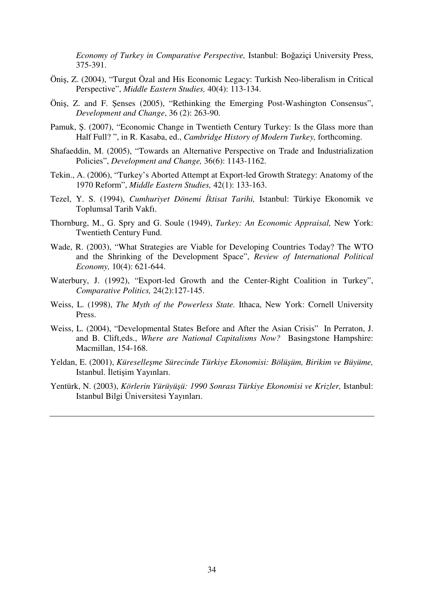*Economy of Turkey in Comparative Perspective,* Istanbul: Boğaziçi University Press, 375-391.

- Öniş, Z. (2004), "Turgut Özal and His Economic Legacy: Turkish Neo-liberalism in Critical Perspective", *Middle Eastern Studies,* 40(4): 113-134.
- Öniş, Z. and F. Şenses (2005), "Rethinking the Emerging Post-Washington Consensus", *Development and Change*, 36 (2): 263-90.
- Pamuk, Ş. (2007), "Economic Change in Twentieth Century Turkey: Is the Glass more than Half Full? ", in R. Kasaba, ed., *Cambridge History of Modern Turkey,* forthcoming.
- Shafaeddin, M. (2005), "Towards an Alternative Perspective on Trade and Industrialization Policies", *Development and Change,* 36(6): 1143-1162.
- Tekin., A. (2006), "Turkey's Aborted Attempt at Export-led Growth Strategy: Anatomy of the 1970 Reform", *Middle Eastern Studies,* 42(1): 133-163.
- Tezel, Y. S. (1994), *Cumhuriyet Dönemi* İ*ktisat Tarihi,* Istanbul: Türkiye Ekonomik ve Toplumsal Tarih Vakfı.
- Thornburg, M., G. Spry and G. Soule (1949), *Turkey: An Economic Appraisal,* New York: Twentieth Century Fund.
- Wade, R. (2003), "What Strategies are Viable for Developing Countries Today? The WTO and the Shrinking of the Development Space", *Review of International Political Economy,* 10(4): 621-644.
- Waterbury, J. (1992), "Export-led Growth and the Center-Right Coalition in Turkey", *Comparative Politics,* 24(2):127-145.
- Weiss, L. (1998), *The Myth of the Powerless State.* Ithaca, New York: Cornell University Press.
- Weiss, L. (2004), "Developmental States Before and After the Asian Crisis" In Perraton, J. and B. Clift,eds., *Where are National Capitalisms Now?* Basingstone Hampshire: Macmillan, 154-168.
- Yeldan, E. (2001), *Küreselle*ş*me Sürecinde Türkiye Ekonomisi: Bölü*ş*üm, Birikim ve Büyüme,*  Istanbul. İletişim Yayınları.
- Yentürk, N. (2003), *Körlerin Yürüyü*ş*ü: 1990 Sonrası Türkiye Ekonomisi ve Krizler,* Istanbul: Istanbul Bilgi Üniversitesi Yayınları.